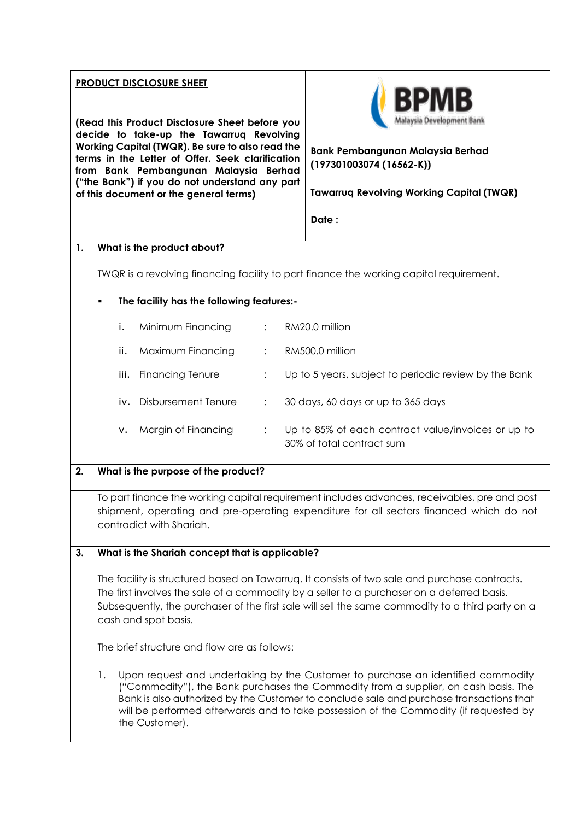| <b>PRODUCT DISCLOSURE SHEET</b>                                                                                                                                                                                                                                                               |                                                                                                                                                                                                                                                                                                                                                                                     |                                              |                |                                                                                                                                                                                         |  |
|-----------------------------------------------------------------------------------------------------------------------------------------------------------------------------------------------------------------------------------------------------------------------------------------------|-------------------------------------------------------------------------------------------------------------------------------------------------------------------------------------------------------------------------------------------------------------------------------------------------------------------------------------------------------------------------------------|----------------------------------------------|----------------|-----------------------------------------------------------------------------------------------------------------------------------------------------------------------------------------|--|
| (Read this Product Disclosure Sheet before you<br>decide to take-up the Tawarruq Revolving<br>Working Capital (TWQR). Be sure to also read the<br>terms in the Letter of Offer. Seek clarification<br>from Bank Pembangunan Malaysia Berhad<br>("the Bank") if you do not understand any part |                                                                                                                                                                                                                                                                                                                                                                                     |                                              |                | Bank Pembangunan Malaysia Berhad<br>$(197301003074(16562-K))$                                                                                                                           |  |
|                                                                                                                                                                                                                                                                                               |                                                                                                                                                                                                                                                                                                                                                                                     | of this document or the general terms)       |                | <b>Tawarruq Revolving Working Capital (TWQR)</b>                                                                                                                                        |  |
|                                                                                                                                                                                                                                                                                               |                                                                                                                                                                                                                                                                                                                                                                                     |                                              |                | Date:                                                                                                                                                                                   |  |
| 1.                                                                                                                                                                                                                                                                                            |                                                                                                                                                                                                                                                                                                                                                                                     | What is the product about?                   |                |                                                                                                                                                                                         |  |
|                                                                                                                                                                                                                                                                                               | TWQR is a revolving financing facility to part finance the working capital requirement.                                                                                                                                                                                                                                                                                             |                                              |                |                                                                                                                                                                                         |  |
|                                                                                                                                                                                                                                                                                               | The facility has the following features:-<br>٠                                                                                                                                                                                                                                                                                                                                      |                                              |                |                                                                                                                                                                                         |  |
|                                                                                                                                                                                                                                                                                               | i.                                                                                                                                                                                                                                                                                                                                                                                  | Minimum Financing                            |                | RM20.0 million                                                                                                                                                                          |  |
|                                                                                                                                                                                                                                                                                               | ii.                                                                                                                                                                                                                                                                                                                                                                                 | Maximum Financing                            |                | RM500.0 million                                                                                                                                                                         |  |
|                                                                                                                                                                                                                                                                                               | iii.                                                                                                                                                                                                                                                                                                                                                                                | <b>Financing Tenure</b>                      |                | Up to 5 years, subject to periodic review by the Bank                                                                                                                                   |  |
|                                                                                                                                                                                                                                                                                               |                                                                                                                                                                                                                                                                                                                                                                                     | iv. Disbursement Tenure                      | $\ddot{\cdot}$ | 30 days, 60 days or up to 365 days                                                                                                                                                      |  |
|                                                                                                                                                                                                                                                                                               | ν.                                                                                                                                                                                                                                                                                                                                                                                  | Margin of Financing                          | ÷              | Up to 85% of each contract value/invoices or up to<br>30% of total contract sum                                                                                                         |  |
| 2.                                                                                                                                                                                                                                                                                            |                                                                                                                                                                                                                                                                                                                                                                                     | What is the purpose of the product?          |                |                                                                                                                                                                                         |  |
|                                                                                                                                                                                                                                                                                               |                                                                                                                                                                                                                                                                                                                                                                                     | contradict with Shariah.                     |                | To part finance the working capital requirement includes advances, receivables, pre and post<br>shipment, operating and pre-operating expenditure for all sectors financed which do not |  |
| 3.                                                                                                                                                                                                                                                                                            | What is the Shariah concept that is applicable?                                                                                                                                                                                                                                                                                                                                     |                                              |                |                                                                                                                                                                                         |  |
|                                                                                                                                                                                                                                                                                               | The facility is structured based on Tawarruq. It consists of two sale and purchase contracts.<br>The first involves the sale of a commodity by a seller to a purchaser on a deferred basis.<br>Subsequently, the purchaser of the first sale will sell the same commodity to a third party on a<br>cash and spot basis.                                                             |                                              |                |                                                                                                                                                                                         |  |
|                                                                                                                                                                                                                                                                                               |                                                                                                                                                                                                                                                                                                                                                                                     | The brief structure and flow are as follows: |                |                                                                                                                                                                                         |  |
|                                                                                                                                                                                                                                                                                               | 1.<br>Upon request and undertaking by the Customer to purchase an identified commodity<br>("Commodity"), the Bank purchases the Commodity from a supplier, on cash basis. The<br>Bank is also authorized by the Customer to conclude sale and purchase transactions that<br>will be performed afterwards and to take possession of the Commodity (if requested by<br>the Customer). |                                              |                |                                                                                                                                                                                         |  |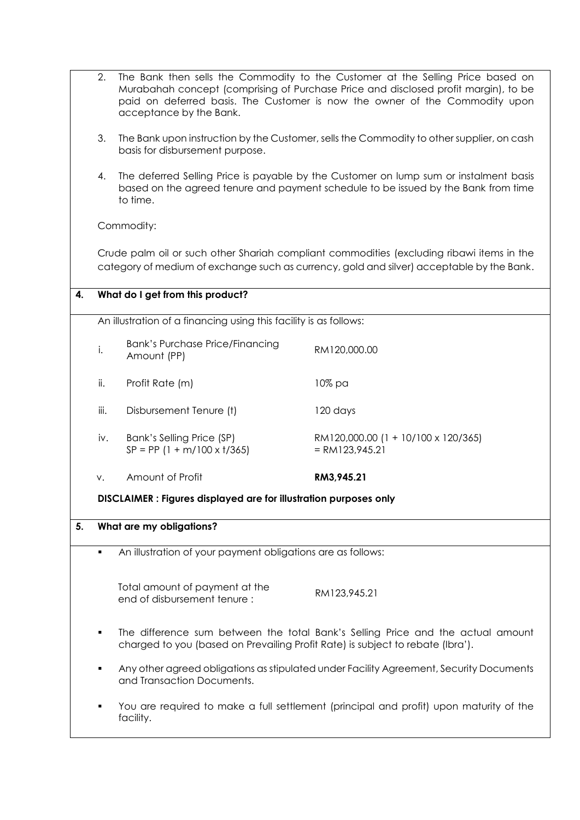|    | 2.   | acceptance by the Bank.                                                        | The Bank then sells the Commodity to the Customer at the Selling Price based on<br>Murabahah concept (comprising of Purchase Price and disclosed profit margin), to be<br>paid on deferred basis. The Customer is now the owner of the Commodity upon |
|----|------|--------------------------------------------------------------------------------|-------------------------------------------------------------------------------------------------------------------------------------------------------------------------------------------------------------------------------------------------------|
|    | 3.   | basis for disbursement purpose.                                                | The Bank upon instruction by the Customer, sells the Commodity to other supplier, on cash                                                                                                                                                             |
|    | 4.   | to time.                                                                       | The deferred Selling Price is payable by the Customer on lump sum or instalment basis<br>based on the agreed tenure and payment schedule to be issued by the Bank from time                                                                           |
|    |      | Commodity:                                                                     |                                                                                                                                                                                                                                                       |
|    |      |                                                                                | Crude palm oil or such other Shariah compliant commodities (excluding ribawi items in the<br>category of medium of exchange such as currency, gold and silver) acceptable by the Bank.                                                                |
| 4. |      | What do I get from this product?                                               |                                                                                                                                                                                                                                                       |
|    |      | An illustration of a financing using this facility is as follows:              |                                                                                                                                                                                                                                                       |
|    | i.   | <b>Bank's Purchase Price/Financing</b><br>Amount (PP)                          | RM120,000.00                                                                                                                                                                                                                                          |
|    | ii.  | Profit Rate (m)                                                                | 10% pa                                                                                                                                                                                                                                                |
|    | iii. | Disbursement Tenure (t)                                                        | 120 days                                                                                                                                                                                                                                              |
|    | iv.  | Bank's Selling Price (SP)<br>$SP = PP (1 + m/100 \times t/365)$                | RM120,000.00 (1 + 10/100 x 120/365)<br>$= RM123,945.21$                                                                                                                                                                                               |
|    | v.   | Amount of Profit                                                               | RM3,945.21                                                                                                                                                                                                                                            |
|    |      | <b>DISCLAIMER : Figures displayed are for illustration purposes only</b>       |                                                                                                                                                                                                                                                       |
| 5. |      | What are my obligations?                                                       |                                                                                                                                                                                                                                                       |
|    | ٠    | An illustration of your payment obligations are as follows:                    |                                                                                                                                                                                                                                                       |
|    |      | Total amount of payment at the<br>end of disbursement tenure:                  | RM123,945.21                                                                                                                                                                                                                                          |
|    | ٠    | charged to you (based on Prevailing Profit Rate) is subject to rebate (Ibra'). | The difference sum between the total Bank's Selling Price and the actual amount                                                                                                                                                                       |
|    | ٠    | and Transaction Documents.                                                     | Any other agreed obligations as stipulated under Facility Agreement, Security Documents                                                                                                                                                               |
|    | ٠    | facility.                                                                      | You are required to make a full settlement (principal and profit) upon maturity of the                                                                                                                                                                |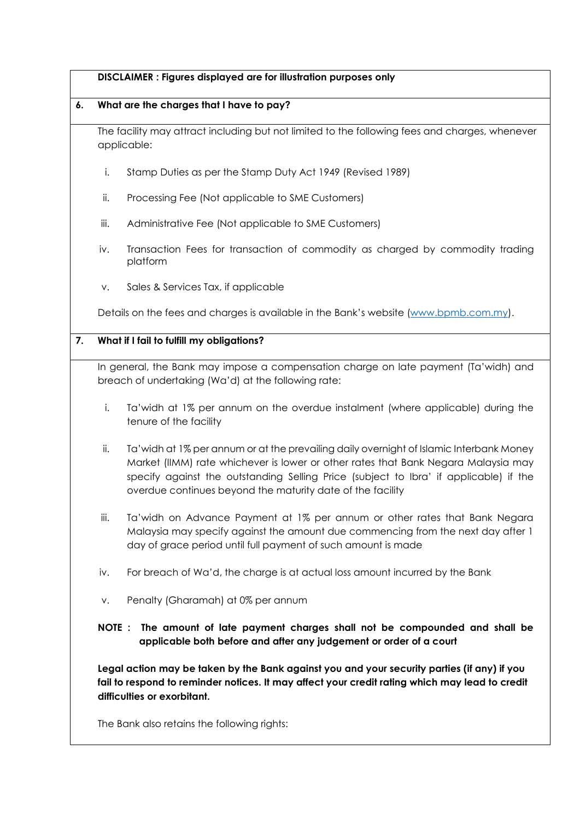#### **DISCLAIMER : Figures displayed are for illustration purposes only**

#### **6. What are the charges that I have to pay?**

The facility may attract including but not limited to the following fees and charges, whenever applicable:

- i. Stamp Duties as per the Stamp Duty Act 1949 (Revised 1989)
- ii. Processing Fee (Not applicable to SME Customers)
- iii. Administrative Fee (Not applicable to SME Customers)
- iv. Transaction Fees for transaction of commodity as charged by commodity trading platform
- v. Sales & Services Tax, if applicable

Details on the fees and charges is available in the Bank's website [\(www.bpmb.com.my\)](http://www.bpmb.com.my/).

### **7. What if I fail to fulfill my obligations?**

In general, the Bank may impose a compensation charge on late payment (Ta'widh) and breach of undertaking (Wa'd) at the following rate:

- i. Ta'widh at 1% per annum on the overdue instalment (where applicable) during the tenure of the facility
- ii. Ta'widh at 1% per annum or at the prevailing daily overnight of Islamic Interbank Money Market (IIMM) rate whichever is lower or other rates that Bank Negara Malaysia may specify against the outstanding Selling Price (subject to Ibra' if applicable) if the overdue continues beyond the maturity date of the facility
- iii. Ta'widh on Advance Payment at 1% per annum or other rates that Bank Negara Malaysia may specify against the amount due commencing from the next day after 1 day of grace period until full payment of such amount is made
- iv. For breach of Wa'd, the charge is at actual loss amount incurred by the Bank
- v. Penalty (Gharamah) at 0% per annum

# **NOTE : The amount of late payment charges shall not be compounded and shall be applicable both before and after any judgement or order of a court**

**Legal action may be taken by the Bank against you and your security parties (if any) if you fail to respond to reminder notices. It may affect your credit rating which may lead to credit difficulties or exorbitant.**

The Bank also retains the following rights: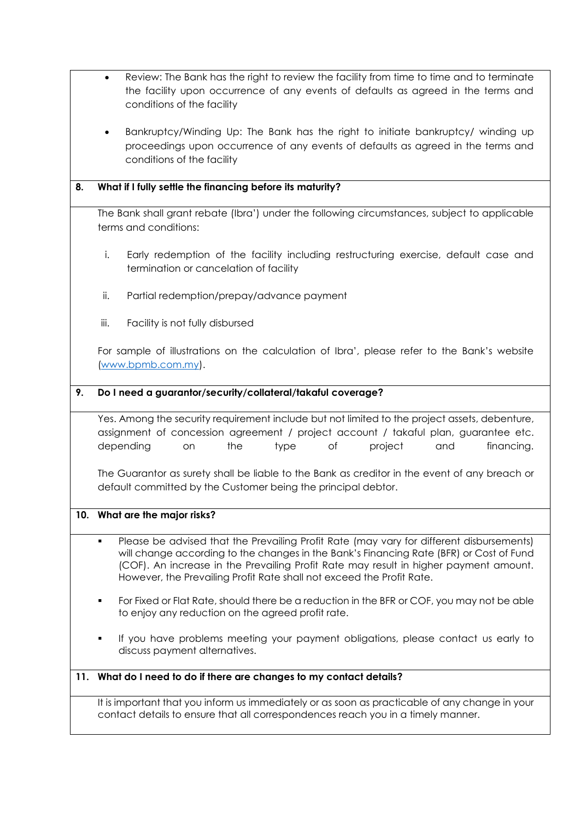- Review: The Bank has the right to review the facility from time to time and to terminate the facility upon occurrence of any events of defaults as agreed in the terms and conditions of the facility
- Bankruptcy/Winding Up: The Bank has the right to initiate bankruptcy/ winding up proceedings upon occurrence of any events of defaults as agreed in the terms and conditions of the facility

## **8. What if I fully settle the financing before its maturity?**

The Bank shall grant rebate (Ibra') under the following circumstances, subject to applicable terms and conditions:

- i. Early redemption of the facility including restructuring exercise, default case and termination or cancelation of facility
- ii. Partial redemption/prepay/advance payment
- iii. Facility is not fully disbursed

For sample of illustrations on the calculation of Ibra', please refer to the Bank's website [\(www.bpmb.com.my\)](http://www.bpmb.com.my/).

# **9. Do I need a guarantor/security/collateral/takaful coverage?**

Yes. Among the security requirement include but not limited to the project assets, debenture, assignment of concession agreement / project account / takaful plan, guarantee etc. depending on the type of project and financing.

The Guarantor as surety shall be liable to the Bank as creditor in the event of any breach or default committed by the Customer being the principal debtor.

### **10. What are the major risks?**

- Please be advised that the Prevailing Profit Rate (may vary for different disbursements) will change according to the changes in the Bank's Financing Rate (BFR) or Cost of Fund (COF). An increase in the Prevailing Profit Rate may result in higher payment amount. However, the Prevailing Profit Rate shall not exceed the Profit Rate.
- For Fixed or Flat Rate, should there be a reduction in the BFR or COF, you may not be able to enjoy any reduction on the agreed profit rate.
- If you have problems meeting your payment obligations, please contact us early to discuss payment alternatives.

# **11. What do I need to do if there are changes to my contact details?**

It is important that you inform us immediately or as soon as practicable of any change in your contact details to ensure that all correspondences reach you in a timely manner.